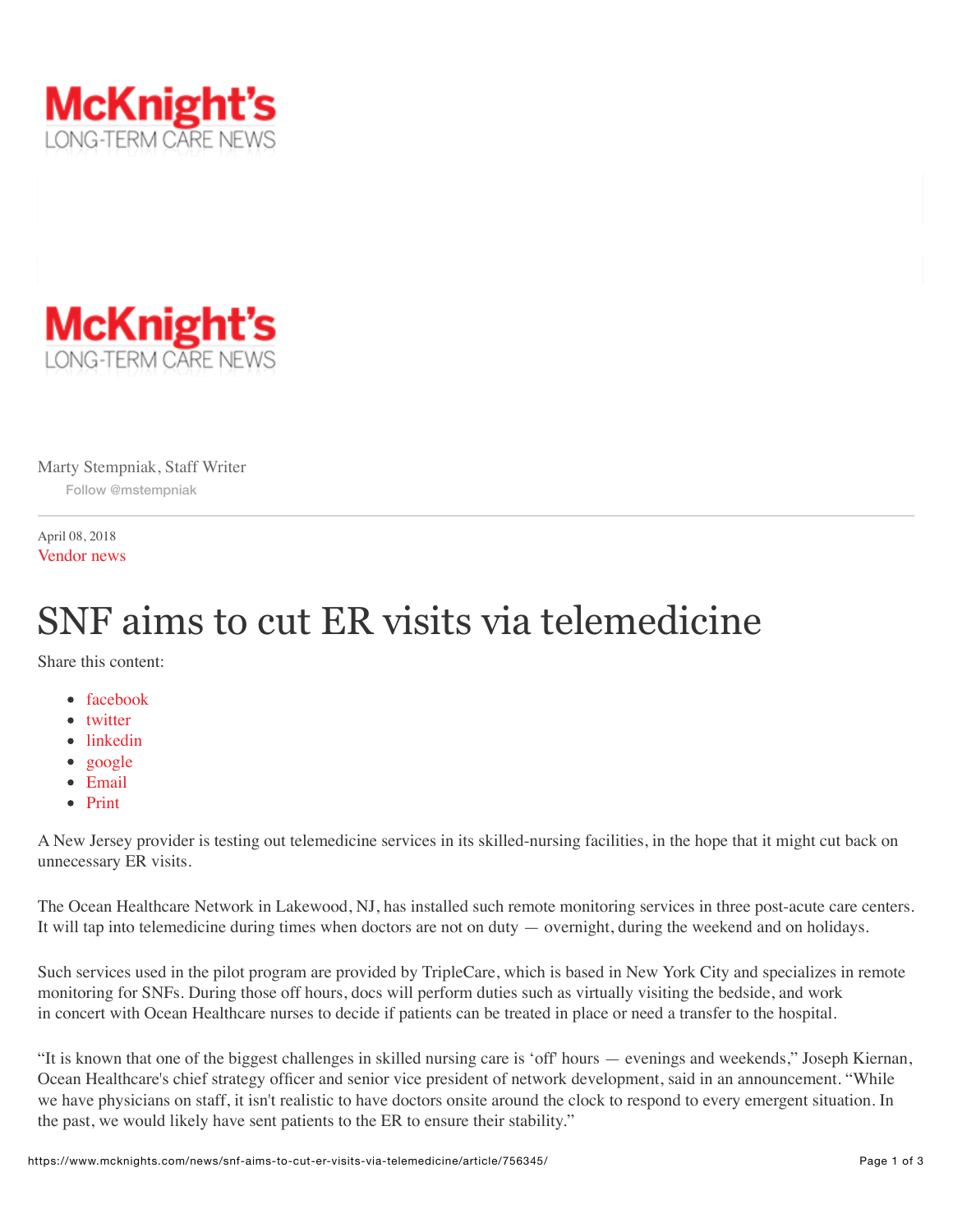<span id="page-0-0"></span>



[Marty Stempniak, Staff Writer](https://www.mcknights.com/marty-stempniak/author/59301/) [Follow @mstempniak](https://twitter.com/intent/follow?original_referer=https%3A%2F%2Fwww.mcknights.com%2Fnews%2Fsnf-aims-to-cut-er-visits-via-telemedicine%2Farticle%2F756345%2F&ref_src=twsrc%5Etfw®ion=follow_link&screen_name=mstempniak&tw_p=followbutton)

April 08, 2018 [Vendor news](https://www.mcknights.com/vendor-news/printsection/169/0)

## SNF aims to cut ER visits via telemedicine

Share this content:

- [facebook](https://www.facebook.com/sharer/sharer.php)
- [twitter](https://twitter.com/share)
- [linkedin](https://www.mcknights.com/news/snf-aims-to-cut-er-visits-via-telemedicine/article/756345/#)
- [google](https://plus.google.com/share)
- [Email](javascript:void(0))
- [Print](https://www.mcknights.com/snf-aims-to-cut-er-visits-via-telemedicine/printarticle/756345/)

A New Jersey provider is testing out telemedicine services in its skilled-nursing facilities, in the hope that it might cut back on unnecessary ER visits.

The Ocean Healthcare Network in Lakewood, NJ, has installed such remote monitoring services in three post-acute care centers. It will tap into telemedicine during times when doctors are not on duty — overnight, during the weekend and on holidays.

Such services used in the pilot program are provided by TripleCare, which is based in New York City and specializes in remote monitoring for SNFs. During those off hours, docs will perform duties such as virtually visiting the bedside, and work in concert with Ocean Healthcare nurses to decide if patients can be treated in place or need a transfer to the hospital.

"It is known that one of the biggest challenges in skilled nursing care is 'off' hours — evenings and weekends," Joseph Kiernan, Ocean Healthcare's chief strategy officer and senior vice president of network development, said in an announcement. "While we have physicians on staff, it isn't realistic to have doctors onsite around the clock to respond to every emergent situation. In the past, we would likely have sent patients to the ER to ensure their stability."